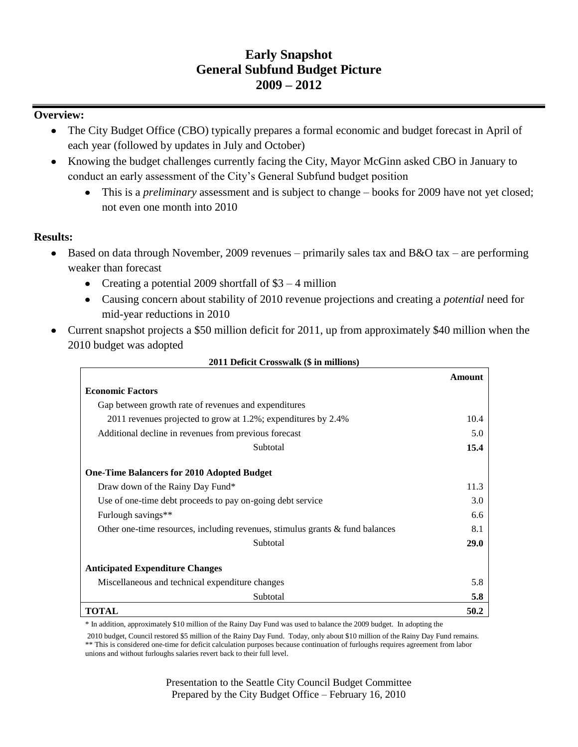# **Early Snapshot General Subfund Budget Picture 2009 – 2012**

### **Overview:**

- The City Budget Office (CBO) typically prepares a formal economic and budget forecast in April of  $\bullet$ each year (followed by updates in July and October)
- Knowing the budget challenges currently facing the City, Mayor McGinn asked CBO in January to conduct an early assessment of the City's General Subfund budget position
	- This is a *preliminary* assessment and is subject to change books for 2009 have not yet closed;  $\bullet$ not even one month into 2010

### **Results:**

- Based on data through November, 2009 revenues primarily sales tax and B&O tax are performing  $\bullet$ weaker than forecast
	- Creating a potential 2009 shortfall of  $$3 4$  million
	- Causing concern about stability of 2010 revenue projections and creating a *potential* need for mid-year reductions in 2010
- Current snapshot projects a \$50 million deficit for 2011, up from approximately \$40 million when the 2010 budget was adopted

|                                                                                  | Amount      |
|----------------------------------------------------------------------------------|-------------|
| <b>Economic Factors</b>                                                          |             |
| Gap between growth rate of revenues and expenditures                             |             |
| 2011 revenues projected to grow at 1.2%; expenditures by 2.4%                    | 10.4        |
| Additional decline in revenues from previous forecast                            | 5.0         |
| Subtotal                                                                         | 15.4        |
| <b>One-Time Balancers for 2010 Adopted Budget</b>                                |             |
| Draw down of the Rainy Day Fund*                                                 | 11.3        |
| Use of one-time debt proceeds to pay on-going debt service                       | 3.0         |
| Furlough savings**                                                               | 6.6         |
| Other one-time resources, including revenues, stimulus grants $\&$ fund balances | 8.1         |
| Subtotal                                                                         | <b>29.0</b> |
| <b>Anticipated Expenditure Changes</b>                                           |             |
| Miscellaneous and technical expenditure changes                                  | 5.8         |
| Subtotal                                                                         | 5.8         |
| <b>TOTAL</b>                                                                     | 50.2        |

#### **2011 Deficit Crosswalk (\$ in millions)**

\* In addition, approximately \$10 million of the Rainy Day Fund was used to balance the 2009 budget. In adopting the

2010 budget, Council restored \$5 million of the Rainy Day Fund. Today, only about \$10 million of the Rainy Day Fund remains. \*\* This is considered one-time for deficit calculation purposes because continuation of furloughs requires agreement from labor unions and without furloughs salaries revert back to their full level.

> Presentation to the Seattle City Council Budget Committee Prepared by the City Budget Office – February 16, 2010